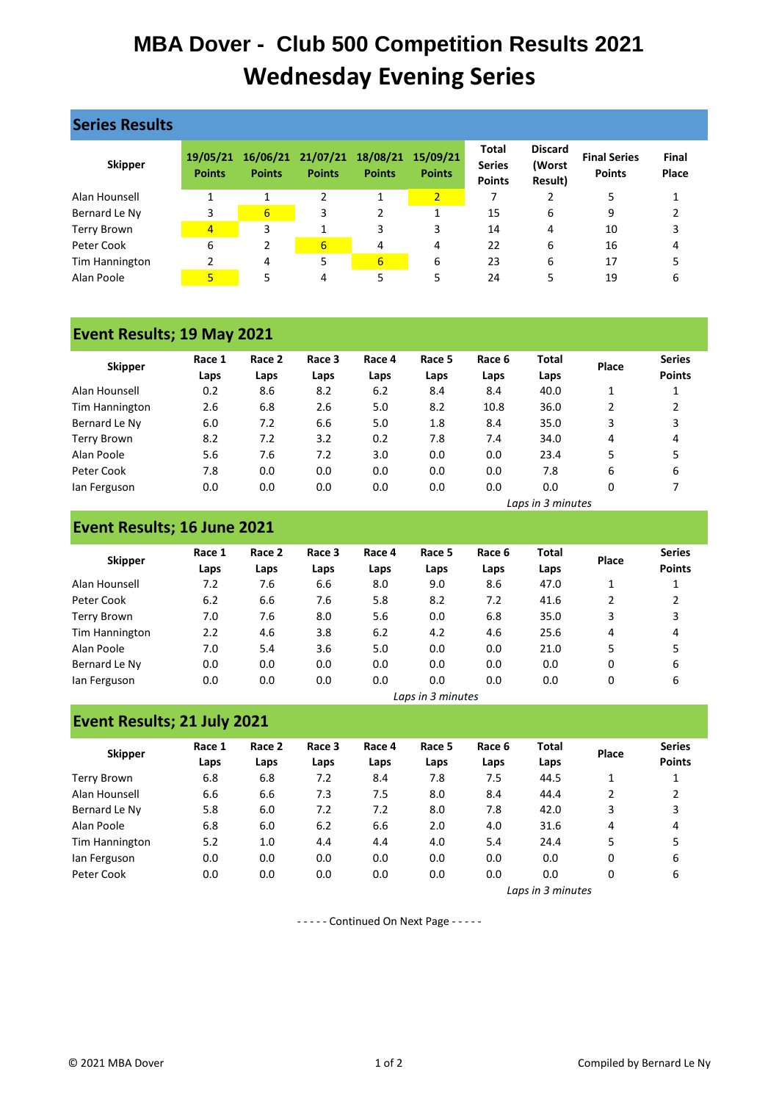# **MBA Dover - Club 500 Competition Results 2021 Wednesday Evening Series**

| <b>Series Results</b> |                           |                  |               |                                             |                           |                                                |                                     |                                      |                |
|-----------------------|---------------------------|------------------|---------------|---------------------------------------------|---------------------------|------------------------------------------------|-------------------------------------|--------------------------------------|----------------|
| <b>Skipper</b>        | 19/05/21<br><b>Points</b> | <b>Points</b>    | <b>Points</b> | 16/06/21 21/07/21 18/08/21<br><b>Points</b> | 15/09/21<br><b>Points</b> | <b>Total</b><br><b>Series</b><br><b>Points</b> | <b>Discard</b><br>(Worst<br>Result) | <b>Final Series</b><br><b>Points</b> | Final<br>Place |
| Alan Hounsell         | 1                         |                  | 2             | 1                                           | $\overline{2}$            | 7                                              |                                     | 5                                    |                |
| Bernard Le Ny         | 3                         | $6 \overline{6}$ | 3             | 2                                           | 1                         | 15                                             | 6                                   | 9                                    |                |
| <b>Terry Brown</b>    | 4                         | 3                |               | 3                                           | 3                         | 14                                             | 4                                   | 10                                   | 3              |
| Peter Cook            | 6                         | $\overline{2}$   | 6             | 4                                           | 4                         | 22                                             | 6                                   | 16                                   | 4              |
| Tim Hannington        | 2                         | 4                | 5             | 6                                           | 6                         | 23                                             | 6                                   | 17                                   |                |
| Alan Poole            | 5                         | 5                | 4             | 5                                           | 5                         | 24                                             | 5                                   | 19                                   | 6              |

## **Event Results; 19 May 2021**

| <b>Skipper</b> | Race 1 | Race 2 | Race 3 | Race 4 | Race 5 | Race 6 | <b>Total</b> | Place | <b>Series</b> |
|----------------|--------|--------|--------|--------|--------|--------|--------------|-------|---------------|
|                | Laps   | Laps   | Laps   | Laps   | Laps   | Laps   | Laps         |       | <b>Points</b> |
| Alan Hounsell  | 0.2    | 8.6    | 8.2    | 6.2    | 8.4    | 8.4    | 40.0         | 1     |               |
| Tim Hannington | 2.6    | 6.8    | 2.6    | 5.0    | 8.2    | 10.8   | 36.0         | 2     |               |
| Bernard Le Ny  | 6.0    | 7.2    | 6.6    | 5.0    | 1.8    | 8.4    | 35.0         | 3     | 3             |
| Terry Brown    | 8.2    | 7.2    | 3.2    | 0.2    | 7.8    | 7.4    | 34.0         | 4     | 4             |
| Alan Poole     | 5.6    | 7.6    | 7.2    | 3.0    | 0.0    | 0.0    | 23.4         | 5     |               |
| Peter Cook     | 7.8    | 0.0    | 0.0    | 0.0    | 0.0    | 0.0    | 7.8          | 6     | 6             |
| lan Ferguson   | 0.0    | 0.0    | 0.0    | 0.0    | 0.0    | 0.0    | 0.0          | 0     |               |

## **Event Results; 16 June 2021**

**Event Results; 21 July 2021**

| <b>Skipper</b>     | Race 1 | Race 2 | Race 3 | Race 4 | Race 5 | Race 6 | <b>Total</b> | Place | <b>Series</b> |
|--------------------|--------|--------|--------|--------|--------|--------|--------------|-------|---------------|
|                    | Laps   | Laps   | Laps   | Laps   | Laps   | Laps   | Laps         |       | <b>Points</b> |
| Alan Hounsell      | 7.2    | 7.6    | 6.6    | 8.0    | 9.0    | 8.6    | 47.0         |       |               |
| Peter Cook         | 6.2    | 6.6    | 7.6    | 5.8    | 8.2    | 7.2    | 41.6         | 2     | 2             |
| <b>Terry Brown</b> | 7.0    | 7.6    | 8.0    | 5.6    | 0.0    | 6.8    | 35.0         | 3     | 3             |
| Tim Hannington     | 2.2    | 4.6    | 3.8    | 6.2    | 4.2    | 4.6    | 25.6         | 4     | 4             |
| Alan Poole         | 7.0    | 5.4    | 3.6    | 5.0    | 0.0    | 0.0    | 21.0         | 5     | 5             |
| Bernard Le Ny      | 0.0    | 0.0    | 0.0    | 0.0    | 0.0    | 0.0    | 0.0          | 0     | 6             |
| lan Ferguson       | 0.0    | 0.0    | 0.0    | 0.0    | 0.0    | 0.0    | 0.0          | 0     | 6             |

*Laps in 3 minutes*

| LVEIIL RESUILS, ZI JUIV ZUZI |                |                |                |                |                |                |               |       |                                |  |  |
|------------------------------|----------------|----------------|----------------|----------------|----------------|----------------|---------------|-------|--------------------------------|--|--|
| <b>Skipper</b>               | Race 1<br>Laps | Race 2<br>Laps | Race 3<br>Laps | Race 4<br>Laps | Race 5<br>Laps | Race 6<br>Laps | Total<br>Laps | Place | <b>Series</b><br><b>Points</b> |  |  |
| Terry Brown                  | 6.8            | 6.8            | 7.2            | 8.4            | 7.8            | 7.5            | 44.5          |       |                                |  |  |
| Alan Hounsell                | 6.6            | 6.6            | 7.3            | 7.5            | 8.0            | 8.4            | 44.4          | 2     |                                |  |  |
| Bernard Le Ny                | 5.8            | 6.0            | 7.2            | 7.2            | 8.0            | 7.8            | 42.0          | 3     | 3                              |  |  |
| Alan Poole                   | 6.8            | 6.0            | 6.2            | 6.6            | 2.0            | 4.0            | 31.6          | 4     | 4                              |  |  |
| Tim Hannington               | 5.2            | 1.0            | 4.4            | 4.4            | 4.0            | 5.4            | 24.4          | 5     | 5                              |  |  |
| lan Ferguson                 | 0.0            | 0.0            | 0.0            | 0.0            | 0.0            | 0.0            | 0.0           | 0     | 6                              |  |  |
| Peter Cook                   | 0.0            | 0.0            | 0.0            | 0.0            | 0.0            | 0.0            | 0.0           | 0     | 6                              |  |  |

*Laps in 3 minutes*

*Laps in 3 minutes*

- - - - - Continued On Next Page - - - - -